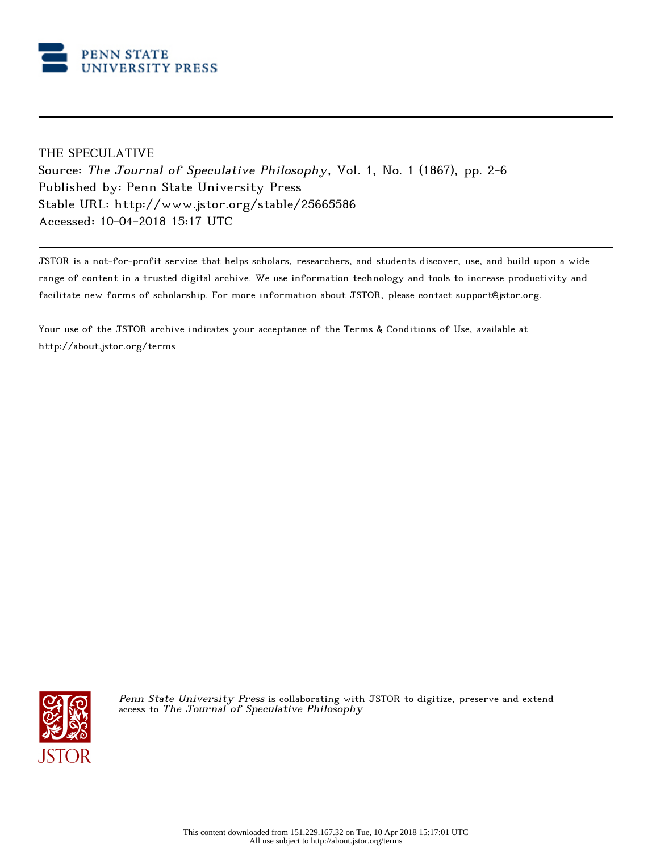

# THE SPECULATIVE

Source: The Journal of Speculative Philosophy, Vol. 1, No. 1 (1867), pp. 2-6 Published by: Penn State University Press Stable URL: http://www.jstor.org/stable/25665586 Accessed: 10-04-2018 15:17 UTC

JSTOR is a not-for-profit service that helps scholars, researchers, and students discover, use, and build upon a wide range of content in a trusted digital archive. We use information technology and tools to increase productivity and facilitate new forms of scholarship. For more information about JSTOR, please contact support@jstor.org.

Your use of the JSTOR archive indicates your acceptance of the Terms & Conditions of Use, available at http://about.jstor.org/terms



Penn State University Press is collaborating with JSTOR to digitize, preserve and extend access to The Journal of Speculative Philosophy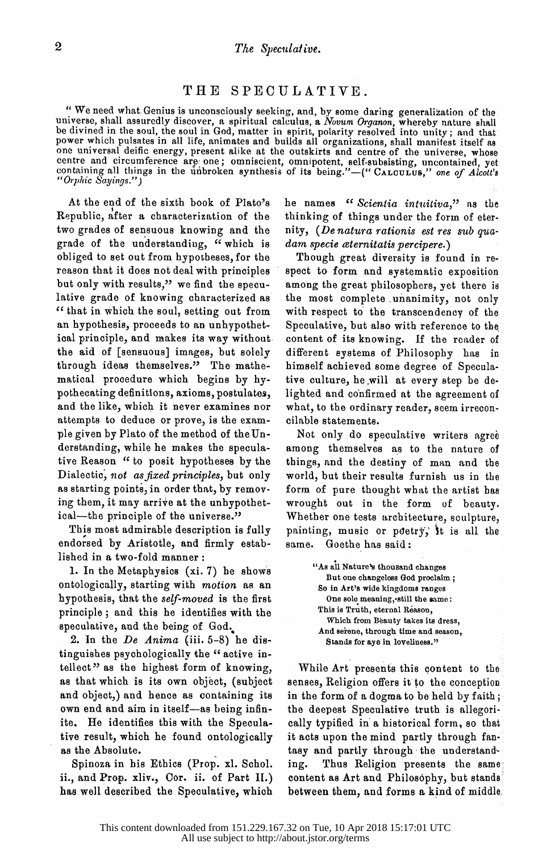### THE SPECULATIVE.

of the unit vehicles is unconsciously seeking, and, by some daring generalization of the universe, shall assuredly discover, a spiritual calculus, a Novum Organon, whereby nature shall<br>be divined in the soul, the soul in G one universal deific energy, present alike at the outskirts and centre of the universe, whose  $\alpha$  the universe, whose centre and circumference are one : omnieciant commissional states centre and circumference are one; omniscient, omitipotent, self-subsisting, uncontained, yet<br>containing all things in the unbroken synthesis of its being."—("CALCULUS," one of Alcott's<br>"Orphic Sanings.") "Orphic Sayings.'\*)

 At the end of the sixth book of Plato's Republic, after a characterization of the two grades of sensuous knowing and the nity, (De grade of the understanding, "which is dam specie obliged to set out from hypotheses, for the Though great diversity is found in re-<br>reason that it does not deal with principles spect to form and systematic exposition reason that it does not deal with principles spect to reason that it is expected. but only with results," we find the specu-<br>https://www.com/community/websiteslative grade of knowing characterized as<br>"that in which the soul, setting out from " that in which the soul, setting out from with respected to the soul of the soul of the soul of the soul of the soul of the soul of the soul of the soul of the soul of the soul of the soul of the soul of the soul of the s an hypothesis, proceeds to an unhypothet-<br>see nureciple and mokes its man without content of ioal principle, and makes its way without the aid of [sensuous] images, but solely through ideas themselves." The mathe matical procedure which begins by hy pothecating definitions, axioms, postulates, and the like, which it never examines nor attempts to deduce or prove, is the exam ple given by Plato of the method of the Un-<br>derstanding, while he makes the speculaderstanding, while he makes the specula-<br>him Peesen is the peelt brusheese buthen this same tive Reason "to posit hypotheses by the things, a Dialectic, not as fixed principles, but only as starting points, in order that, by remov ing them, it may arrive at the unhypothet ical—the principle of the universe."

 This most admirable description is fully endorsed by Aristotle, and firmly estab lished in a two-fold manner :

 1. In the Metaphysics (xi. 7) he shows ontologically, starting with motion as an hypothesis, that the self-moved is the first principle; and this he identifies with the speculative, and the being of God.

speculative, and the being of God,  $\frac{1}{2}$ . In the De Anima (iii. 5-8) he dis-<br>Ste tinguishes psychologically the "active intellect" as the highest form of knowing, as that which is its own object, (subject and object,) and hence as containing its own end and aim in itself-as being infin ite. He identifies this with the Specula tive result, which he found ontologically as the Absolute.

Spinoza in his Ethics (Prop. xl. Schol. ing. ii., and Prop, xliv., Cor. ii. of Part II.) has well described the Speculative, which

he names " Scientia intuitiva," as the thinking of things under the form of eter nity, (De natura rationis est res sub qua-<br>dam specie aternitatis percipere.)

dam specie aternitatis percipere.) Inough great diversity is found in respect to form and systematic exposition. among the great philosophers, yet there is the most complete .unanimity, not only with respect to the transcendency of the Speculative, but also with reference to the content of its knowing. If the reader of different systems of Philosophy has in himself achieved some degree of Specula tive culture, he will at every step be de lighted and confirmed at the agreement of what, to the ordinary reader, seem irrecon cilable statements.

Not only do speculative writers agree among themselves as to the nature of things, and the destiny of man and the world, but their results furnish us in the form of pure thought what the artist has wrought out in the form of beauty. Whether one tests architecture, sculpture, painting, music or poetry, it is all the same. Goethe has said :

> "As all Nature's thousand changes But one changeless God proclaim ; So in Art's wide kingdoms ranges One sole meaning, still the same: This is Truth, eternal Reason, Which from Beauty takes its dress, And serene, through time and season, Stands for aye in loveliness."

 While Art presents this content to the senses, Religion offers it to the conception in the form of a dogma to be held by faith ; the deepest Speculative truth is allegori cally typified in a historical form, so that it acts upon the mind partly through fan tasy and partly through the understand Thus Religion presents the same; content as Art and Philosophy, but stands between them, and forms a kind of middle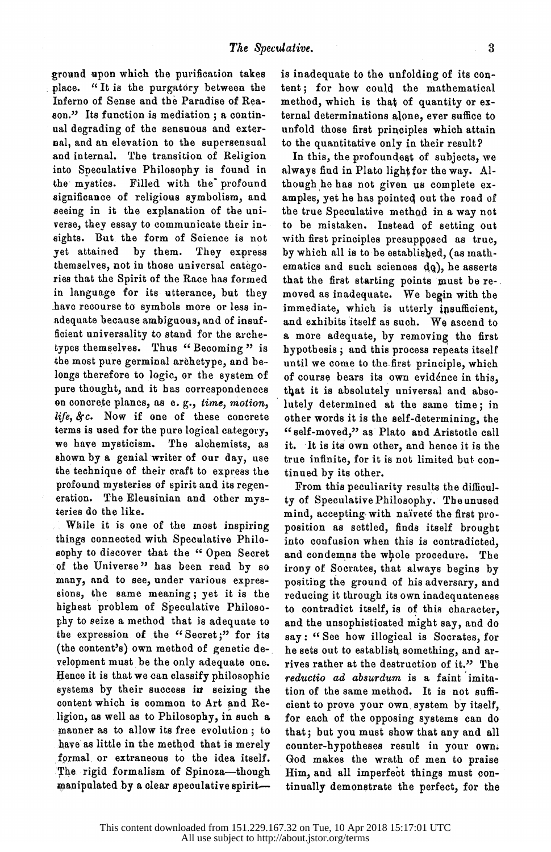ground upon which the purification takes place. "It is the purgatory between the place. " It is the purgatory betweea the Inferno of Sense and the Paradise of Rea son." Its function is mediation; a continual degrading of the sensuous and exterpal, and an elevation to the supersensual and internal. The transition of Religion and internal. The transition of Religion into Speculative Philosophy is found in the mystics. Filled with the profound<br>significance of religious symbolism, and seeing in it the explanation of the universe, they essay to communicate their in verse, they essay to communicate their in signed but the form of Science is not yet attained by them. They express<br>themselves, not in those universal categothemselves, not in those universal catego ries that the Spirit of the Race has formed in language for its utterance, but they adequate because ambiguous, and of insufficient universality to stand for the archetypes themselves. Thus "Becoming" is types themselves. Thus " Becoming " is the most pure germinal archetype, and be longs therefore to logic, or the system of pure thought, and it has correspondences on concrete planes, as e. g., time, motion,  $life, \&c.$  Now if one of these concrete terms is used for the pure logical category, we have mysticism. The alchemists, as we have mysticism. The alchemists, as shown by a genial writer of our day, use the technique of their craft to express the profound mysteries of spirit and its regen eration. The Eleusinian and other mys teries do the like.<br>While it is one of the most inspiring

 $W_{\text{max}}$  is the one of the most inspiring things connected with Speculative Philosophy to discover that the " Open Secret of the Universe" has been read by so many, and to see, under various expres sions, the same meaning; yet it is the highest problem of Speculative Philoso-<br>phy to seize a method that is adequate to phy to senze a method that is adequate to the expression of the " Secret;" for its (the content's) own method of genetic de velopment must be the only adequate one. Hence it is that we can classify philosophic systems by their success in seizing the content which is common to Art and Re ligion, as well as to Philosophy, in such a manner as to allow its free evolution ; to have as little in the method that is merely formal, or extraneous to the idea itself. The rigid formalism of Spinoza-though manipulated by a clear speculative spirit-

 is inadequate to the unfolding of its con tent; for how could the mathematical mothod, which is that of quantity or ex ternal determinations alone, ever suffice to unities through the principles which attain

to the quantitative only in their results In this, the profoundest of subjects, we<br>always find in Plato light for the way. Although he has not given us complete examples, yet he has pointed out the road of the true Speculative method in a way not the true Speculative method in a way not to be mistaken. Instead of setting out with first principles presupposed as true,<br>by which all is to be established, (as mathematics and such sciences  $dg$ ), he asserts that the first starting points must be re-. moved as inadequate. We begin with the immediate, which is utterly insufficient. immediate, which is utterly insufficient, and exhibits itself as such. We ascend to a more adequate, by removing the first hypothesis; and this process repeats itself<br>until we come to the first principle, which of course bears its own evidence in this. of course bears its own evidence in this, the it is absolutely universal and absort lutely determined at the same time; in<br>other words it is the self-determining, the other words it is the self-determining3 the scir-moved, as flato and Aristotle call it. It is its own other, and hence it is the true infinite, for it is not limited but con

tinued by its other.<br>From this peculiarity results the difficul-From this peculiarity results the difficul ty of Speculative Philosophy. The unused mind, accepting with naivete the first pro-<br>position as settled, finds itself brought into confusion when this is contradicted, and condemns the whole procedure. The and condemns the whole procedure. The irony of Socrates, that always begins by positing the ground of his adversary, and<br>reducing it through its own inadequateness reducing it through its own inadequateness to contradict itself, is of this character, and the unsophisticated might say, and do say: " See how illogical is Socrates, for he sets out to establish something, and ar rives rather at the destruction of it." The reductio ad absurdum is a faint imita tion of the same method. It is not suffi cient to prove your own system by itself, for each of the opposing systems can do that; but you must show that any and all counter-hypotheses result in your own; God makes the wrath of men to praise Him, and all imperfect things must con tinually demonstrate the perfect, for the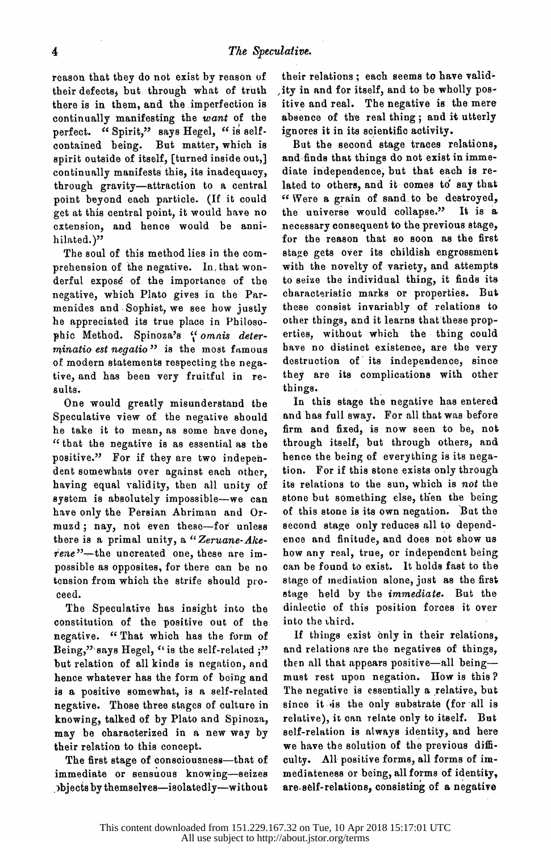reason that they do not exist by reason of<br>their defects, but through what of truth there is in them, and the imperfection is continually manifesting the want of the continually manifesting the want of the perfect. " Spirit," says Hegel, " is selfcontained being. But matter, which is<br>spirit outside of itself, [turned inside out,] continually manifests this, its inadequacy, through gravity-attraction to a central point beyond each particle. (If it could get at this central point, it would have no get at this central point, it would have no extension, and hence would be annihilated.)"

The soul of this method lies in the com-<br>prehension of the negative. In that wonderful expose of the importance of the negative, which Plato gives in the Parmenides and Sophist, we see how justly he appreciated its true place in Philosohe appreciated its true place in Philos phic method. Spinoza's \ omnis dete  $minatio$  est negatio" is the most famous of modern statements respecting the nega of modern statements respecting the nega tive, and has been very fruitful in sults.

One would greatly misunderstand the<br>Speculative view of the negative should he take it to mean, as some have done, he take it to mean, as some have done,  $\frac{1}{10}$  that the negative is as essential as positive." For if they are two indepen-<br>dent somewhats over against each other. having equal validity, then all unity of system is absolutely impossible-we can have only the Persian Ahriman and Orhave only the Persian Ahriman and muzu, nay, not even these-for u  $\frac{1}{2}$  is a primal unity,  $\frac{1}{2}$   $\frac{1}{2}$  and  $\frac{1}{2}$ rene - the uncreated one, these are possible as opposites, for there can be no tension from which the strife should pro ceed.<br>The Speculative has insight into the

The Speculative has insight into constitution of the positive out of negative. " That which has the form of Being," says Hegel, "is the self-related ;"<br>but relation of all kinds is negation, and hence whatever has the form of being and is a positive somewhat, is a self-related negative. Those three stages of culture in negative. Those three stages of culture knowing, talked of by Plato and Spinoza, may be characterized in a new way by their relation to this concept.

The first stage of consciousness—that of immediate or sensuous knowing-seizes objects by themselves-isolatedly-without

their relations; each seems to have valid-<br>ity in and for itself, and to be wholly positive and real. The negative is the mere absence of the real thing; and it utterly ignores it in its scientific activity.

But the second stage traces relations, and finds that things do not exist in immediate independence, but that each is related to others, and it comes to say that "Were a grain of sand to be destroyed, the universe would collapse." It is a necessary consequent to the previous stage, necessary consequent to the previous stage stage gets over its childish engrossment<br>with the novelty of variety, and attempts with the novelty of variously and atten to seize the individual thing, it may characteristic marks or properties. But other things, and it learns that these properties, without which the thing could erties, without which the thing could have no distinct existence, are the destruction of its independence, they are its complications with  $\frac{1}{2}$ 

things.<br>In this stage the negative has entered In this stage the negative has exist and has full sway. For all that was before firm and fixed, is now seen to be, not hence the being of everything is its nega hence the being of everything is its nega tion. For it this stone exists only through its relations to the sun, which is not the stone but something else, then the being of this stone is its own negation. But the second stage only reduces all to depend ence and finitude, and does not show us<br>how any real, true, or independent being how any real, true, or independent be can be found to exist. It holds fast to stage of mediation alone, just as the first stage held by the *immediate*. But the dialectic of this position forces it over into the third.

 If things exist only in their relations, and relations are the negatives of things,<br>then all that appears positive—all being then all that appears positive all being. must rest upon negation. How is this The negative is essentially a relative, but since it is the only substrate (for all is relative), it can relate only to itself. But self-relation is always identity, and here we have the solution of the previous difficulty. All positive forms, all forms of im culty. All positive forms, all forms of im mediateness or being, all forms of identity are self-relations, consisting of a negative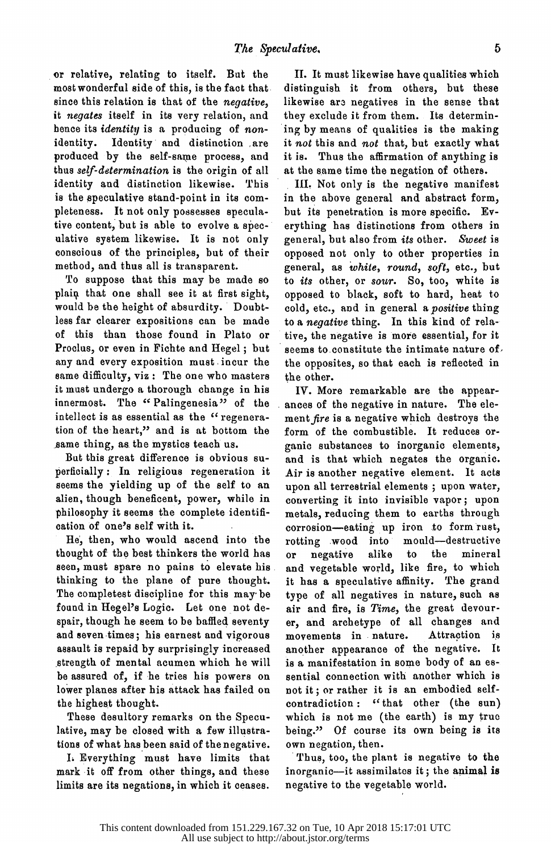or relative, relating to itself. But the since this relation is that of the *negative*. it negates itself in its very relation, and hence its *identity* is a producing of non $h_{\text{total}}$  is increasing is a producing of nonidentity. Identity and distinction are produced by the self-same process, and<br>thus self-determination is the origin of all identity and distinction likewise. This is the speculative stand-point in its completeness. It not only possesses speculative content, but is able to evolve a speculative system likewise. It is not only conscious of the principles, but of their method, and thus all is transparent.

method, and thus all is transparent. To suppose that this may be made so plain that one shall see it at first sight,<br>would be the height of absurdity. Doubtless far clearer expositions can be made less far clearer expositions can be made of this than those found in Plato or Proclus, or even in Fichte and Hegel; but<br>any and every exposition must incur the any and every exposition must have the same dimedially, viz. The one who masters it must undergo a thorough change in his<br>innermost. The "Palingenesia" of the intellect is as essential as the " regenera intellect is as essential as the " regenera tion of the heart," and is at bottom the

 $S^{\text{univ}}$  thing, as the mystics teach us.  $\frac{1}{2}$  perficially : In religious regeneration it seems the yielding up of the self to an alien, though beneficent, power, while in philosophy it seems the complete identification of one's self with it.

He, then, who would ascend into the<br>thought of the best thinkers the world has thought of the best thinkers the world has seen, must spare no pains to elevate his. thinking to the plane of pure thought. The completest discipline for this may be found in Hegel's Logic. Let one not de-<br>spair, though he seem to be baffled seventy spair, though he seem to be baffled seventy and seven times; his earnest and vigorous assault is repaid by surprisingly increased strength of mental acumen which he will be assured of, if he tries his powers on lower planes after his attack has failed on<br>the highest thought. the highest thought.

 These desultory remarks on the Specu lative, may be closed with a few illustra tions of what has been said of the negative.

 L Everything must have limits that mark it off from other things, and these limits are its negations, in which it ceases.

 II. It must likewise have qualities which likewise are negatives in the sense that they exclude it from them. Its determining by means of qualities is the making it not this and not that, but exactly what it is. Thus the affirmation of anything is at the same time the negation of others.

III. Not only is the negative manifest in the above general and abstract form, but its penetration is more specific. Everything has distinctions from others in erything has distinctions from others in general, but also from its other. Sweet is opposed not only to other properties in<br>general, as white, round, soft, etc., but  $g_{\text{c}}$  general, as while, round, soft, every but to *its* other, or *sour*. So, too, white is opposed to black, soft to hard, heat to cold, etc., and in general a positive thing cold, every did in general a positive thing to a negative thing. In this kind of relative tive, the negative is more essential, for it seems to constitute the intimate nature of the opposites, so that each is reflected in the other.

IV. More remarkable are the appear-<br>ances of the negative in nature. The element fire is a negative which destroys the form of the combustible. It reduces or ganic substances to inorganic elements and is that which negates the organic Air is another negative element. It acts upon all terrestrial elements  $\frac{1}{2}$  upon water converting it into invisible vapor; upon metals, reducing them to earths through corrosion-caoing up from to form rust, rotting wood into mould-destructive<br>or negative alike to the mineral or negative alike to the minera and vegetable world, the me, to which it has a speculative affinity. The grand<br>type of all negatives in nature, such as type of all negatives in nature, such as air and fire, is Time, the great devour er, and archetype of all changes and<br>movements in nature. Attraction is movements in nature. Attraction is another appearance of the negative. is a manifestation in some body of an es sential connection with another which is<br>not it; or rather it is an embodied selfnot it; or rather it is an embodied selfcontradiction: "that other (the sun which is not me (the earth) is my true being." Of course its own being is its own negation, then.

Thus, too, the plant is negative to the Thus, too, the plant is negative to the inorganic<sup>-1</sup><sup>t</sup> assimilates it; the animal negative to the vegetable world.